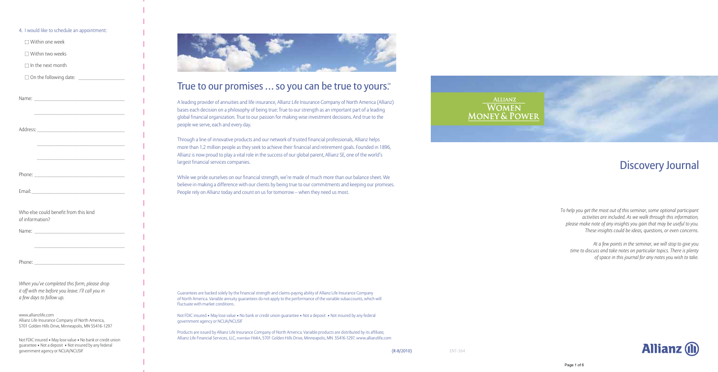# ALLIANZ<br>WOMEN<br><u>MONEY & POWER</u>

## Discovery Journal

*To help you get the most out of this seminar, some optional participant activities are included. As we walk through this information, please make note of any insights you gain that may be useful to you. These insights could be ideas, questions, or even concerns.*

*At a few points in the seminar, we will stop to give you time to discuss and take notes on particular topics. There is plenty of space in this journal for any notes you wish to take.*

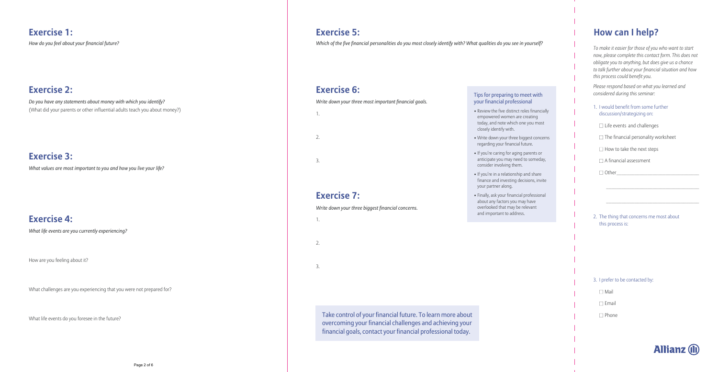## **Exercise 1:**

*How do you feel about your financial future?*

#### **Exercise 2:**

*Do you have any statements about money with which you identify?*  (What did your parents or other influential adults teach you about money?)

#### **Exercise 3:**

*What values are most important to you and how you live your life?*

#### **Exercise 4:**

*What life events are you currently experiencing?*

How are you feeling about it?

What challenges are you experiencing that you were not prepared for?

What life events do you foresee in the future?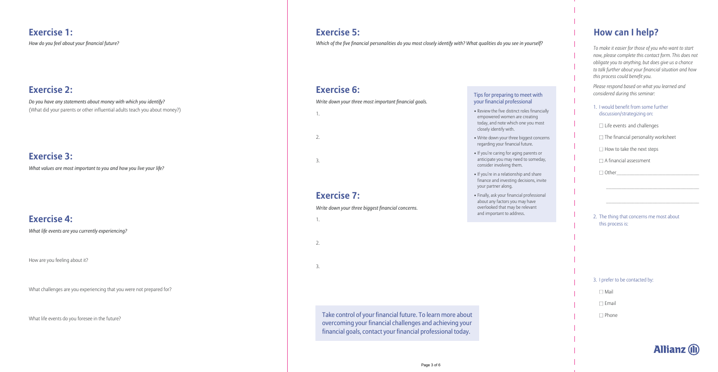### **Exercise 5:**

*Which of the five financial personalities do you most closely identify with? What qualities do you see in yourself?*

#### **Exercise 6:**

*Write down your three most important financial goals.*

1.

2.

3.

#### **Exercise 7:**

*Write down your three biggest financial concerns.*

1.

2.

3.

Take control of your financial future. To learn more about overcoming your financial challenges and achieving your financial goals, contact your financial professional today.

#### Tips for preparing to meet with your financial professional

- Review the five distinct roles financially empowered women are creating today, and note which one you most closely identify with.
- Write down your three biggest concerns regarding your financial future.
- If you're caring for aging parents or anticipate you may need to someday, consider involving them.
- If you're in a relationship and share finance and investing decisions, invite your partner along.
- Finally, ask your financial professional about any factors you may have overlooked that may be relevant and important to address.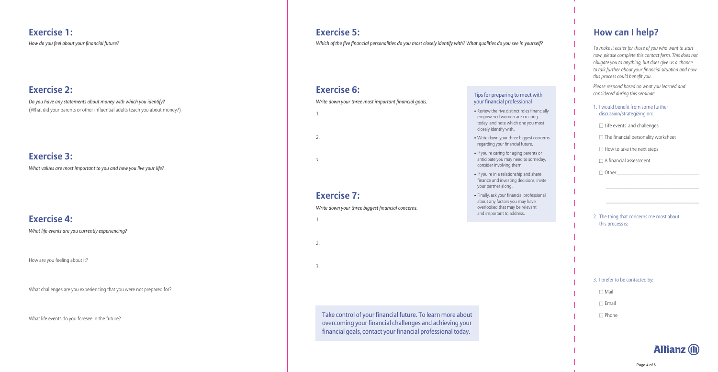#### **How can I help?**

*To make it easier for those of you who want to start now, please complete this contact form. This does not obligate you to anything, but does give us a chance to talk further about your financial situation and how this process could benefit you.*

*Please respond based on what you learned and considered during this seminar:*

- 1. I would benefit from some further discussion/strategizing on:
	- $\Box$  Life events and challenges
	- $\Box$  The financial personality worksheet
	- $\Box$  How to take the next steps
	- $\Box$  A financial assessment

| $\Box$ Other |  |
|--------------|--|
|              |  |

2. The thing that concerns me most about this process is:

\_\_\_\_\_\_\_\_\_\_\_\_\_\_\_\_\_\_\_\_\_\_\_\_\_\_\_\_\_\_\_\_\_\_\_\_

\_\_\_\_\_\_\_\_\_\_\_\_\_\_\_\_\_\_\_\_\_\_\_\_\_\_\_\_\_\_\_\_\_\_\_\_

#### 3. I prefer to be contacted by:

- Mail
- $\Box$  Email
- □ Phone

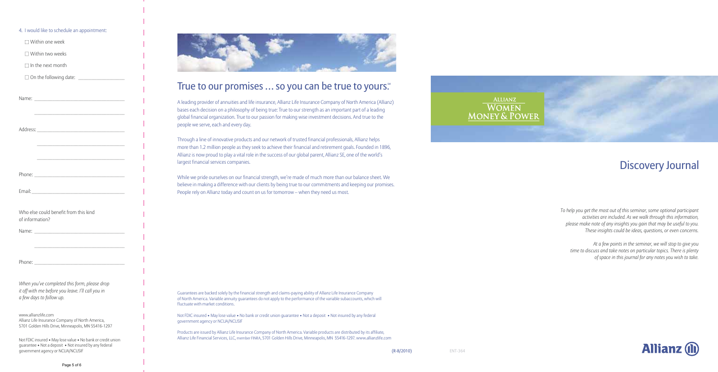| 4. I would like to schedule an appointment:                                                                                                               |
|-----------------------------------------------------------------------------------------------------------------------------------------------------------|
| $\Box$ Within one week                                                                                                                                    |
| $\Box$ Within two weeks                                                                                                                                   |
| $\Box$ In the next month                                                                                                                                  |
|                                                                                                                                                           |
|                                                                                                                                                           |
|                                                                                                                                                           |
| <u> 1989 - Johann John Stone, mars et al. (</u>                                                                                                           |
|                                                                                                                                                           |
|                                                                                                                                                           |
| <u> 1989 - Johann John Harry Harry Harry Harry Harry Harry Harry Harry Harry Harry Harry Harry Harry Harry Harry H</u>                                    |
| <u> 1989 - Johann John Stone, mars et al. (1989)</u>                                                                                                      |
|                                                                                                                                                           |
|                                                                                                                                                           |
|                                                                                                                                                           |
| Who else could benefit from this kind<br>of information?                                                                                                  |
|                                                                                                                                                           |
|                                                                                                                                                           |
|                                                                                                                                                           |
| Phone:                                                                                                                                                    |
| When you've completed this form, please drop<br>it off with me before you leave. I'll call you in<br>a few days to follow up.                             |
| www.allianzlife.com<br>Allianz Life Insurance Company of North America,<br>5701 Golden Hills Drive, Minneapolis, MN 55416-1297                            |
| Not FDIC insured • May lose value • No bank or credit union<br>guarantee • Not a deposit • Not insured by any federal<br>government agency or NCUA/NCUSIF |
| Page 5 of 6                                                                                                                                               |